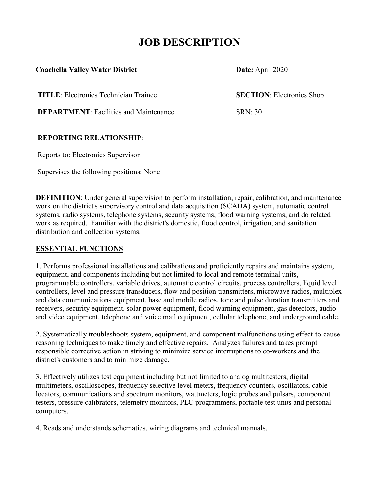# **JOB DESCRIPTION**

#### **Coachella Valley Water District Date:** April 2020

**TITLE**: Electronics Technician Trainee **SECTION**: Electronics Shop

**DEPARTMENT:** Facilities and Maintenance SRN: 30

# **REPORTING RELATIONSHIP**:

Reports to: Electronics Supervisor

Supervises the following positions: None

**DEFINITION**: Under general supervision to perform installation, repair, calibration, and maintenance work on the district's supervisory control and data acquisition (SCADA) system, automatic control systems, radio systems, telephone systems, security systems, flood warning systems, and do related work as required. Familiar with the district's domestic, flood control, irrigation, and sanitation distribution and collection systems.

## **ESSENTIAL FUNCTIONS**:

1. Performs professional installations and calibrations and proficiently repairs and maintains system, equipment, and components including but not limited to local and remote terminal units, programmable controllers, variable drives, automatic control circuits, process controllers, liquid level controllers, level and pressure transducers, flow and position transmitters, microwave radios, multiplex and data communications equipment, base and mobile radios, tone and pulse duration transmitters and receivers, security equipment, solar power equipment, flood warning equipment, gas detectors, audio and video equipment, telephone and voice mail equipment, cellular telephone, and underground cable.

2. Systematically troubleshoots system, equipment, and component malfunctions using effect-to-cause reasoning techniques to make timely and effective repairs. Analyzes failures and takes prompt responsible corrective action in striving to minimize service interruptions to co-workers and the district's customers and to minimize damage.

3. Effectively utilizes test equipment including but not limited to analog multitesters, digital multimeters, oscilloscopes, frequency selective level meters, frequency counters, oscillators, cable locators, communications and spectrum monitors, wattmeters, logic probes and pulsars, component testers, pressure calibrators, telemetry monitors, PLC programmers, portable test units and personal computers.

4. Reads and understands schematics, wiring diagrams and technical manuals.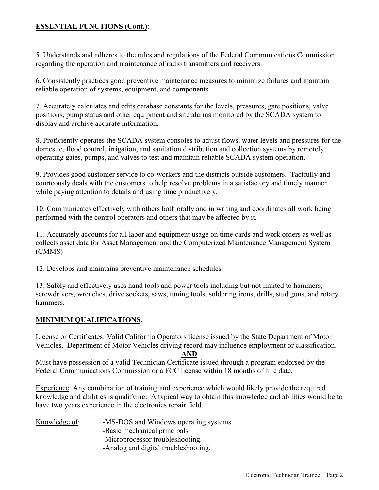#### **ESSENTIAL FUNCTIONS (Cont.)**:

5. Understands and adheres to the rules and regulations of the Federal Communications Commission regarding the operation and maintenance of radio transmitters and receivers.

6. Consistently practices good preventive maintenance measures to minimize failures and maintain reliable operation of systems, equipment, and components.

7. Accurately calculates and edits database constants for the levels, pressures, gate positions, valve positions, pump status and other equipment and site alarms monitored by the SCADA system to display and archive accurate information.

8. Proficiently operates the SCADA system consoles to adjust flows, water levels and pressures for the domestic, flood control, irrigation, and sanitation distribution and collection systems by remotely operating gates, pumps, and valves to test and maintain reliable SCADA system operation.

9. Provides good customer service to co-workers and the districts outside customers. Tactfully and courteously deals with the customers to help resolve problems in a satisfactory and timely manner while paying attention to details and using time productively.

10. Communicates effectively with others both orally and in writing and coordinates all work being performed with the control operators and others that may be affected by it.

11. Accurately accounts for all labor and equipment usage on time cards and work orders as well as collects asset data for Asset Management and the Computerized Maintenance Management System (CMMS)

12. Develops and maintains preventive maintenance schedules.

13. Safely and effectively uses hand tools and power tools including but not limited to hammers, screwdrivers, wrenches, drive sockets, saws, tuning tools, soldering irons, drills, stud guns, and rotary hammers.

#### **MINIMUM QUALIFICATIONS**:

License or Certificates: Valid California Operators license issued by the State Department of Motor Vehicles. Department of Motor Vehicles driving record may influence employment or classification.

#### **AND**

Must have possession of a valid Technician Certificate issued through a program endorsed by the Federal Communications Commission or a FCC license within 18 months of hire date.

Experience: Any combination of training and experience which would likely provide the required knowledge and abilities is qualifying. A typical way to obtain this knowledge and abilities would be to have two years experience in the electronics repair field.

| Knowledge of: |  |  | -MS-DOS and Windows operating systems. |
|---------------|--|--|----------------------------------------|
|---------------|--|--|----------------------------------------|

- -Basic mechanical principals.
- -Microprocessor troubleshooting.
- -Analog and digital troubleshooting.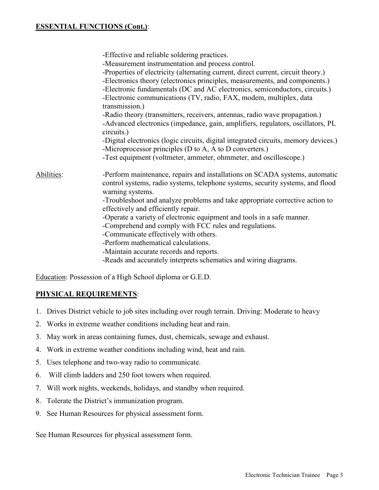#### **ESSENTIAL FUNCTIONS (Cont.)**:

|            | -Effective and reliable soldering practices.<br>-Measurement instrumentation and process control.<br>-Properties of electricity (alternating current, direct current, circuit theory.)<br>-Electronics theory (electronics principles, measurements, and components.)<br>-Electronic fundamentals (DC and AC electronics, semiconductors, circuits.)<br>-Electronic communications (TV, radio, FAX, modem, multiplex, data<br>transmission.)<br>-Radio theory (transmitters, receivers, antennas, radio wave propagation.)<br>-Advanced electronics (impedance, gain, amplifiers, regulators, oscillators, PL<br>circuits.)<br>-Digital electronics (logic circuits, digital integrated circuits, memory devices.)<br>-Microprocessor principles (D to A, A to D converters.)<br>-Test equipment (voltmeter, ammeter, ohmmeter, and oscilloscope.) |
|------------|----------------------------------------------------------------------------------------------------------------------------------------------------------------------------------------------------------------------------------------------------------------------------------------------------------------------------------------------------------------------------------------------------------------------------------------------------------------------------------------------------------------------------------------------------------------------------------------------------------------------------------------------------------------------------------------------------------------------------------------------------------------------------------------------------------------------------------------------------|
| Abilities: | -Perform maintenance, repairs and installations on SCADA systems, automatic<br>control systems, radio systems, telephone systems, security systems, and flood<br>warning systems.<br>-Troubleshoot and analyze problems and take appropriate corrective action to<br>effectively and efficiently repair.<br>-Operate a variety of electronic equipment and tools in a safe manner.<br>-Comprehend and comply with FCC rules and regulations.<br>-Communicate effectively with others.<br>-Perform mathematical calculations.<br>-Maintain accurate records and reports.<br>-Reads and accurately interprets schematics and wiring diagrams.                                                                                                                                                                                                        |

Education: Possession of a High School diploma or G.E.D.

#### **PHYSICAL REQUIREMENTS**:

- 1. Drives District vehicle to job sites including over rough terrain. Driving: Moderate to heavy
- 2. Works in extreme weather conditions including heat and rain.
- 3. May work in areas containing fumes, dust, chemicals, sewage and exhaust.
- 4. Work in extreme weather conditions including wind, heat and rain.
- 5. Uses telephone and two-way radio to communicate.
- 6. Will climb ladders and 250 foot towers when required.
- 7. Will work nights, weekends, holidays, and standby when required.
- 8. Tolerate the District's immunization program.
- 9. See Human Resources for physical assessment form.

See Human Resources for physical assessment form.